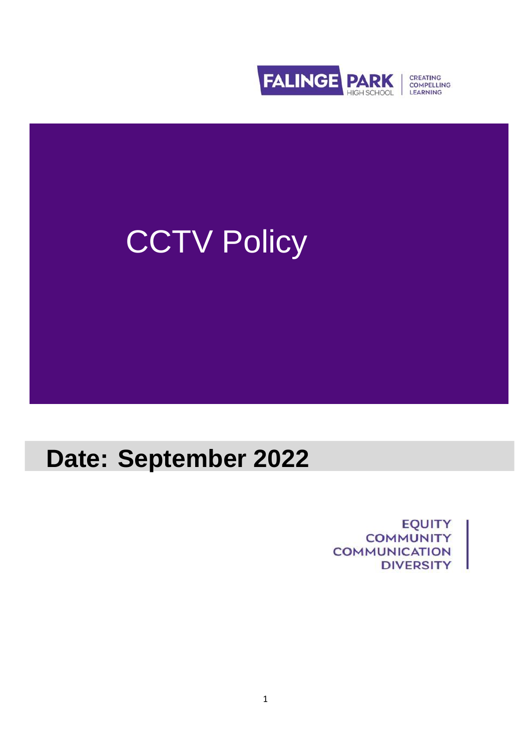



# **Date: September 2022**

**EQUITY COMMUNITY COMMUNICATION DIVERSITY**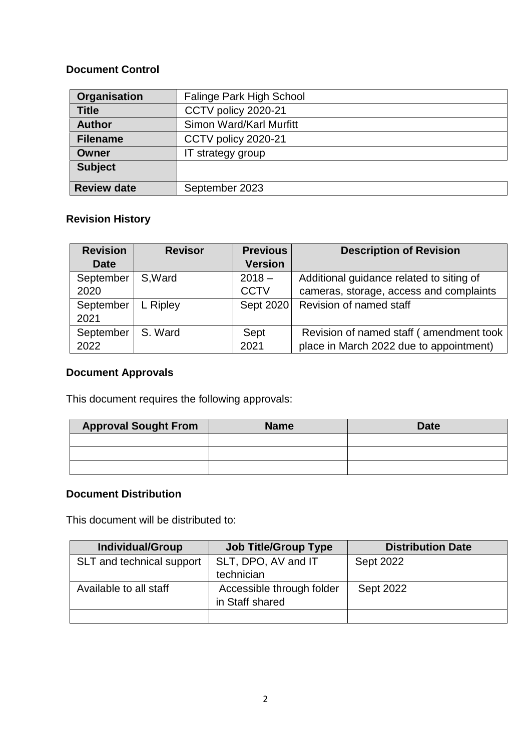## **Document Control**

| Organisation       | Falinge Park High School |
|--------------------|--------------------------|
| <b>Title</b>       | CCTV policy 2020-21      |
| <b>Author</b>      | Simon Ward/Karl Murfitt  |
| <b>Filename</b>    | CCTV policy 2020-21      |
| Owner              | IT strategy group        |
| <b>Subject</b>     |                          |
| <b>Review date</b> | September 2023           |

# **Revision History**

| <b>Revision</b> | <b>Revisor</b> | <b>Previous</b> | <b>Description of Revision</b>           |
|-----------------|----------------|-----------------|------------------------------------------|
| <b>Date</b>     |                | <b>Version</b>  |                                          |
| September       | S.Ward         | $2018 -$        | Additional guidance related to siting of |
| 2020            |                | <b>CCTV</b>     | cameras, storage, access and complaints  |
| September       | L Ripley       | Sept 2020       | Revision of named staff                  |
| 2021            |                |                 |                                          |
| September       | S. Ward        | Sept            | Revision of named staff (amendment took  |
| 2022            |                | 2021            | place in March 2022 due to appointment)  |

# **Document Approvals**

This document requires the following approvals:

| <b>Approval Sought From</b> | <b>Name</b> | <b>Date</b> |
|-----------------------------|-------------|-------------|
|                             |             |             |
|                             |             |             |
|                             |             |             |

# **Document Distribution**

This document will be distributed to:

| <b>Individual/Group</b>   | <b>Job Title/Group Type</b> | <b>Distribution Date</b> |
|---------------------------|-----------------------------|--------------------------|
| SLT and technical support | SLT, DPO, AV and IT         | Sept 2022                |
|                           | technician                  |                          |
| Available to all staff    | Accessible through folder   | <b>Sept 2022</b>         |
|                           | in Staff shared             |                          |
|                           |                             |                          |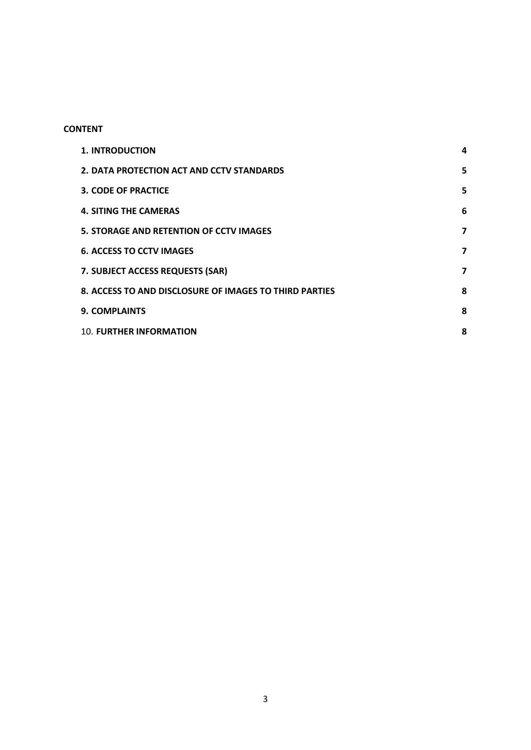### **CONTENT**

| <b>1. INTRODUCTION</b>                                 | 4 |
|--------------------------------------------------------|---|
| 2. DATA PROTECTION ACT AND CCTV STANDARDS              | 5 |
| <b>3. CODE OF PRACTICE</b>                             | 5 |
| <b>4. SITING THE CAMERAS</b>                           | 6 |
| <b>5. STORAGE AND RETENTION OF CCTV IMAGES</b>         | 7 |
| <b>6. ACCESS TO CCTV IMAGES</b>                        | 7 |
| 7. SUBJECT ACCESS REQUESTS (SAR)                       | 7 |
| 8. ACCESS TO AND DISCLOSURE OF IMAGES TO THIRD PARTIES | 8 |
| <b>9. COMPLAINTS</b>                                   | 8 |
| <b>10. FURTHER INFORMATION</b>                         | 8 |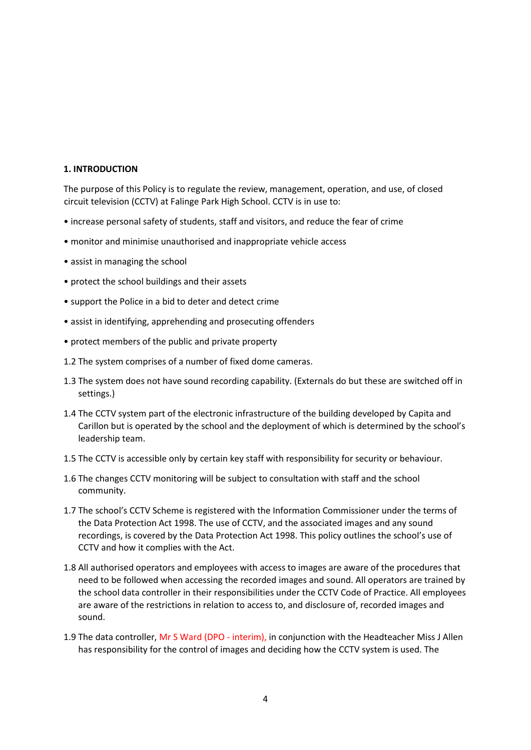#### <span id="page-3-0"></span>**1. INTRODUCTION**

The purpose of this Policy is to regulate the review, management, operation, and use, of closed circuit television (CCTV) at Falinge Park High School. CCTV is in use to:

- increase personal safety of students, staff and visitors, and reduce the fear of crime
- monitor and minimise unauthorised and inappropriate vehicle access
- assist in managing the school
- protect the school buildings and their assets
- support the Police in a bid to deter and detect crime
- assist in identifying, apprehending and prosecuting offenders
- protect members of the public and private property
- 1.2 The system comprises of a number of fixed dome cameras.
- 1.3 The system does not have sound recording capability. (Externals do but these are switched off in settings.)
- 1.4 The CCTV system part of the electronic infrastructure of the building developed by Capita and Carillon but is operated by the school and the deployment of which is determined by the school's leadership team.
- 1.5 The CCTV is accessible only by certain key staff with responsibility for security or behaviour.
- 1.6 The changes CCTV monitoring will be subject to consultation with staff and the school community.
- 1.7 The school's CCTV Scheme is registered with the Information Commissioner under the terms of the Data Protection Act 1998. The use of CCTV, and the associated images and any sound recordings, is covered by the Data Protection Act 1998. This policy outlines the school's use of CCTV and how it complies with the Act.
- 1.8 All authorised operators and employees with access to images are aware of the procedures that need to be followed when accessing the recorded images and sound. All operators are trained by the school data controller in their responsibilities under the CCTV Code of Practice. All employees are aware of the restrictions in relation to access to, and disclosure of, recorded images and sound.
- 1.9 The data controller, Mr S Ward (DPO interim), in conjunction with the Headteacher Miss J Allen has responsibility for the control of images and deciding how the CCTV system is used. The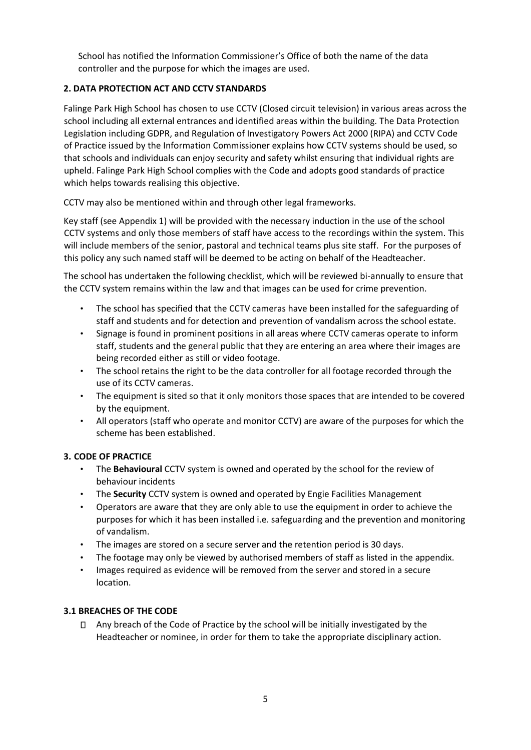School has notified the Information Commissioner's Office of both the name of the data controller and the purpose for which the images are used.

#### <span id="page-4-0"></span>**2. DATA PROTECTION ACT AND CCTV STANDARDS**

Falinge Park High School has chosen to use CCTV (Closed circuit television) in various areas across the school including all external entrances and identified areas within the building. The Data Protection Legislation including GDPR, and Regulation of Investigatory Powers Act 2000 (RIPA) and CCTV Code of Practice issued by the Information Commissioner explains how CCTV systems should be used, so that schools and individuals can enjoy security and safety whilst ensuring that individual rights are upheld. Falinge Park High School complies with the Code and adopts good standards of practice which helps towards realising this objective.

CCTV may also be mentioned within and through other legal frameworks.

Key staff (see Appendix 1) will be provided with the necessary induction in the use of the school CCTV systems and only those members of staff have access to the recordings within the system. This will include members of the senior, pastoral and technical teams plus site staff. For the purposes of this policy any such named staff will be deemed to be acting on behalf of the Headteacher.

The school has undertaken the following checklist, which will be reviewed bi-annually to ensure that the CCTV system remains within the law and that images can be used for crime prevention.

- The school has specified that the CCTV cameras have been installed for the safeguarding of staff and students and for detection and prevention of vandalism across the school estate.
- Signage is found in prominent positions in all areas where CCTV cameras operate to inform staff, students and the general public that they are entering an area where their images are being recorded either as still or video footage.
- The school retains the right to be the data controller for all footage recorded through the use of its CCTV cameras.
- The equipment is sited so that it only monitors those spaces that are intended to be covered by the equipment.
- All operators (staff who operate and monitor CCTV) are aware of the purposes for which the scheme has been established.

#### <span id="page-4-1"></span>**3. CODE OF PRACTICE**

- The **Behavioural** CCTV system is owned and operated by the school for the review of behaviour incidents
- The **Security** CCTV system is owned and operated by Engie Facilities Management
- Operators are aware that they are only able to use the equipment in order to achieve the purposes for which it has been installed i.e. safeguarding and the prevention and monitoring of vandalism.
- The images are stored on a secure server and the retention period is 30 days.
- The footage may only be viewed by authorised members of staff as listed in the appendix.
- Images required as evidence will be removed from the server and stored in a secure location.

#### **3.1 BREACHES OF THE CODE**

 $\Box$  Any breach of the Code of Practice by the school will be initially investigated by the Headteacher or nominee, in order for them to take the appropriate disciplinary action.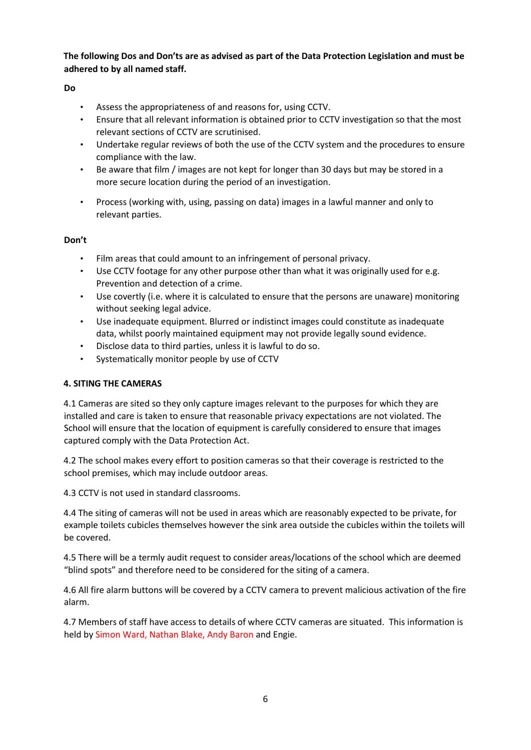**The following Dos and Don'ts are as advised as part of the Data Protection Legislation and must be adhered to by all named staff.**

#### **Do**

- Assess the appropriateness of and reasons for, using CCTV.
- Ensure that all relevant information is obtained prior to CCTV investigation so that the most relevant sections of CCTV are scrutinised.
- Undertake regular reviews of both the use of the CCTV system and the procedures to ensure compliance with the law.
- Be aware that film / images are not kept for longer than 30 days but may be stored in a more secure location during the period of an investigation.
- Process (working with, using, passing on data) images in a lawful manner and only to relevant parties.

#### **Don't**

- Film areas that could amount to an infringement of personal privacy.
- Use CCTV footage for any other purpose other than what it was originally used for e.g. Prevention and detection of a crime.
- Use covertly (i.e. where it is calculated to ensure that the persons are unaware) monitoring without seeking legal advice.
- Use inadequate equipment. Blurred or indistinct images could constitute as inadequate data, whilst poorly maintained equipment may not provide legally sound evidence.
- Disclose data to third parties, unless it is lawful to do so.
- Systematically monitor people by use of CCTV

#### <span id="page-5-0"></span>**4. SITING THE CAMERAS**

4.1 Cameras are sited so they only capture images relevant to the purposes for which they are installed and care is taken to ensure that reasonable privacy expectations are not violated. The School will ensure that the location of equipment is carefully considered to ensure that images captured comply with the Data Protection Act.

4.2 The school makes every effort to position cameras so that their coverage is restricted to the school premises, which may include outdoor areas.

4.3 CCTV is not used in standard classrooms.

4.4 The siting of cameras will not be used in areas which are reasonably expected to be private, for example toilets cubicles themselves however the sink area outside the cubicles within the toilets will be covered.

4.5 There will be a termly audit request to consider areas/locations of the school which are deemed "blind spots" and therefore need to be considered for the siting of a camera.

4.6 All fire alarm buttons will be covered by a CCTV camera to prevent malicious activation of the fire alarm.

4.7 Members of staff have access to details of where CCTV cameras are situated. This information is held by Simon Ward, Nathan Blake, Andy Baron and Engie.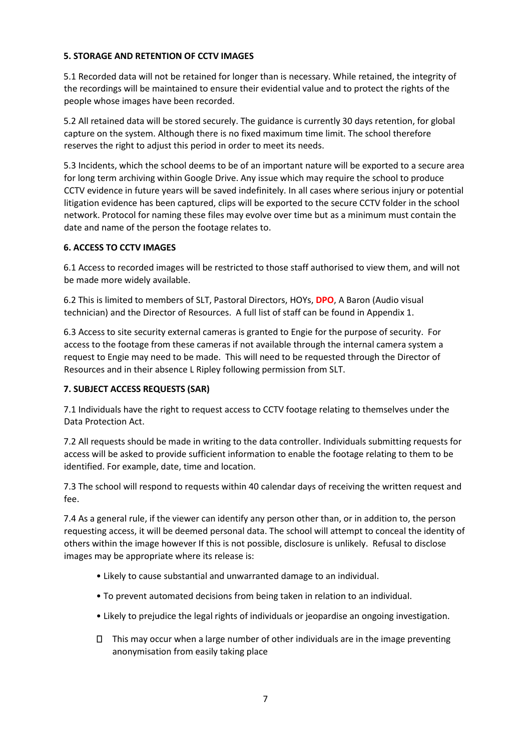#### <span id="page-6-0"></span>**5. STORAGE AND RETENTION OF CCTV IMAGES**

5.1 Recorded data will not be retained for longer than is necessary. While retained, the integrity of the recordings will be maintained to ensure their evidential value and to protect the rights of the people whose images have been recorded.

5.2 All retained data will be stored securely. The guidance is currently 30 days retention, for global capture on the system. Although there is no fixed maximum time limit. The school therefore reserves the right to adjust this period in order to meet its needs.

5.3 Incidents, which the school deems to be of an important nature will be exported to a secure area for long term archiving within Google Drive. Any issue which may require the school to produce CCTV evidence in future years will be saved indefinitely. In all cases where serious injury or potential litigation evidence has been captured, clips will be exported to the secure CCTV folder in the school network. Protocol for naming these files may evolve over time but as a minimum must contain the date and name of the person the footage relates to.

#### <span id="page-6-1"></span>**6. ACCESS TO CCTV IMAGES**

6.1 Access to recorded images will be restricted to those staff authorised to view them, and will not be made more widely available.

6.2 This is limited to members of SLT, Pastoral Directors, HOYs, **DPO**, A Baron (Audio visual technician) and the Director of Resources. A full list of staff can be found in Appendix 1.

6.3 Access to site security external cameras is granted to Engie for the purpose of security. For access to the footage from these cameras if not available through the internal camera system a request to Engie may need to be made. This will need to be requested through the Director of Resources and in their absence L Ripley following permission from SLT.

#### <span id="page-6-2"></span>**7. SUBJECT ACCESS REQUESTS (SAR)**

7.1 Individuals have the right to request access to CCTV footage relating to themselves under the Data Protection Act.

7.2 All requests should be made in writing to the data controller. Individuals submitting requests for access will be asked to provide sufficient information to enable the footage relating to them to be identified. For example, date, time and location.

7.3 The school will respond to requests within 40 calendar days of receiving the written request and fee.

7.4 As a general rule, if the viewer can identify any person other than, or in addition to, the person requesting access, it will be deemed personal data. The school will attempt to conceal the identity of others within the image however If this is not possible, disclosure is unlikely. Refusal to disclose images may be appropriate where its release is:

- Likely to cause substantial and unwarranted damage to an individual.
- To prevent automated decisions from being taken in relation to an individual.
- Likely to prejudice the legal rights of individuals or jeopardise an ongoing investigation.
- $\Box$  This may occur when a large number of other individuals are in the image preventing anonymisation from easily taking place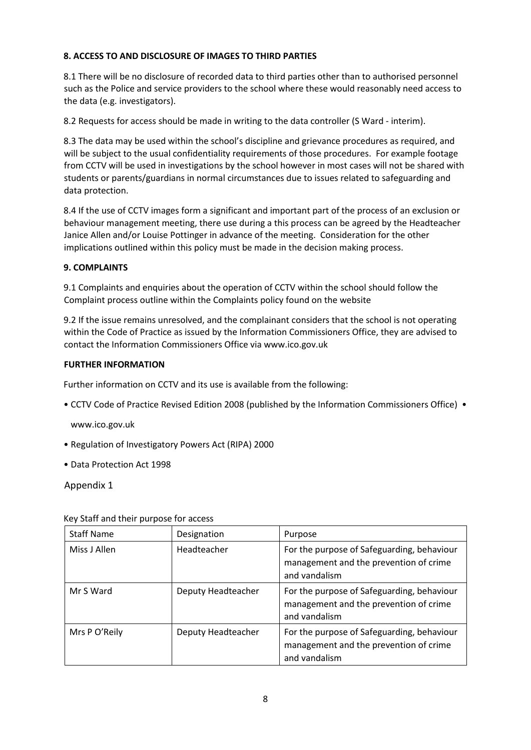#### <span id="page-7-0"></span>**8. ACCESS TO AND DISCLOSURE OF IMAGES TO THIRD PARTIES**

8.1 There will be no disclosure of recorded data to third parties other than to authorised personnel such as the Police and service providers to the school where these would reasonably need access to the data (e.g. investigators).

8.2 Requests for access should be made in writing to the data controller (S Ward - interim).

8.3 The data may be used within the school's discipline and grievance procedures as required, and will be subject to the usual confidentiality requirements of those procedures. For example footage from CCTV will be used in investigations by the school however in most cases will not be shared with students or parents/guardians in normal circumstances due to issues related to safeguarding and data protection.

8.4 If the use of CCTV images form a significant and important part of the process of an exclusion or behaviour management meeting, there use during a this process can be agreed by the Headteacher Janice Allen and/or Louise Pottinger in advance of the meeting. Consideration for the other implications outlined within this policy must be made in the decision making process.

#### <span id="page-7-1"></span>**9. COMPLAINTS**

9.1 Complaints and enquiries about the operation of CCTV within the school should follow the Complaint process outline within the Complaints policy found on the website

9.2 If the issue remains unresolved, and the complainant considers that the school is not operating within the Code of Practice as issued by the Information Commissioners Office, they are advised to contact the Information Commissioners Office via www.ico.gov.uk

#### <span id="page-7-2"></span>**FURTHER INFORMATION**

Further information on CCTV and its use is available from the following:

• CCTV Code of Practice Revised Edition 2008 (published by the Information Commissioners Office) •

www.ico.gov.uk

- Regulation of Investigatory Powers Act (RIPA) 2000
- Data Protection Act 1998

Appendix 1

| <b>Staff Name</b> | Designation        | Purpose                                                                                               |
|-------------------|--------------------|-------------------------------------------------------------------------------------------------------|
| Miss J Allen      | Headteacher        | For the purpose of Safeguarding, behaviour<br>management and the prevention of crime<br>and vandalism |
| Mr S Ward         | Deputy Headteacher | For the purpose of Safeguarding, behaviour<br>management and the prevention of crime<br>and vandalism |
| Mrs P O'Reily     | Deputy Headteacher | For the purpose of Safeguarding, behaviour<br>management and the prevention of crime<br>and vandalism |

Key Staff and their purpose for access